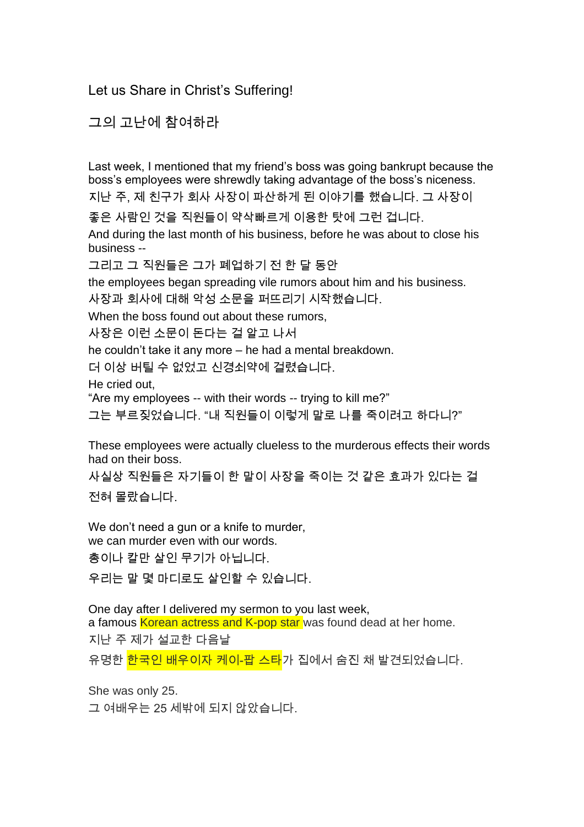Let us Share in Christ's Suffering!

그의 고난에 참여하라

Last week, I mentioned that my friend's boss was going bankrupt because the boss's employees were shrewdly taking advantage of the boss's niceness.

지난 주, 제 친구가 회사 사장이 파산하게 된 이야기를 했습니다. 그 사장이

좋은 사람인 것을 직원들이 약삭빠르게 이용한 탓에 그런 겁니다.

And during the last month of his business, before he was about to close his business --

그리고 그 직원들은 그가 폐업하기 전 한 달 동안

the employees began spreading vile rumors about him and his business.

사장과 회사에 대해 악성 소문을 퍼뜨리기 시작했습니다.

When the boss found out about these rumors,

사장은 이런 소문이 돈다는 걸 알고 나서

he couldn't take it any more – he had a mental breakdown.

더 이상 버틸 수 없었고 신경쇠약에 걸렸습니다.

He cried out,

"Are my employees -- with their words -- trying to kill me?"

그는 부르짖었습니다. "내 직원들이 이렇게 말로 나를 죽이려고 하다니?"

These employees were actually clueless to the murderous effects their words had on their boss.

사실상 직원들은 자기들이 한 말이 사장을 죽이는 것 같은 효과가 있다는 걸

전혀 몰랐습니다.

We don't need a gun or a knife to murder, we can murder even with our words.

총이나 칼만 살인 무기가 아닙니다.

우리는 말 몇 마디로도 살인할 수 있습니다.

One day after I delivered my sermon to you last week, a famous Korean actress and K-pop star was found dead at her home. 지난 주 제가 설교한 다음날

유명한 한국인 배우이자 케이-팝 스타가 집에서 숨진 채 발견되었습니다.

She was only 25.

그 여배우는 25 세밖에 되지 않았습니다.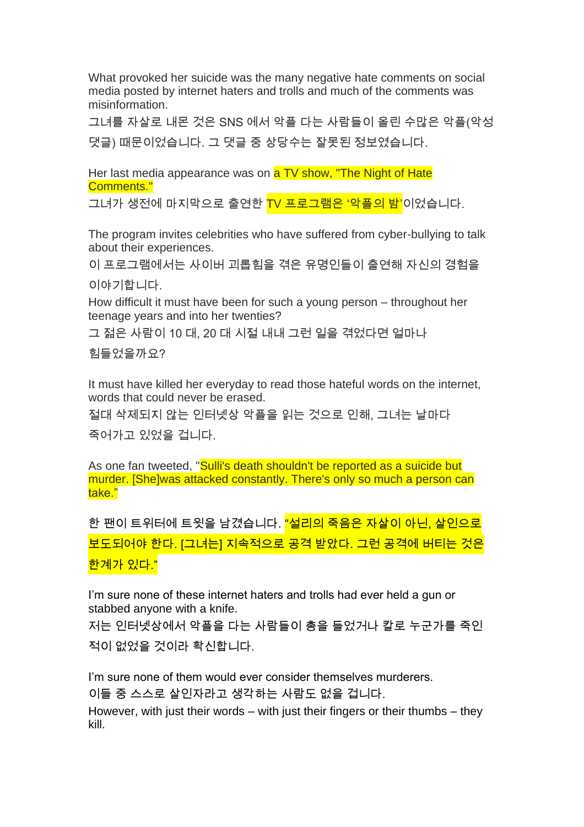What provoked her suicide was the many negative hate comments on social media posted by internet haters and trolls and much of the comments was misinformation.

그녀를 자살로 내몬 것은 SNS 에서 악플 다는 사람들이 올린 수많은 악플(악성 댓글) 때문이었습니다. 그 댓글 중 상당수는 잘못된 정보였습니다.

Her last media appearance was on **a TV show, "The Night of Hate** Comments."

그녀가 생전에 마지막으로 출연한 <mark>TV 프로그램은 '악플의 밤'</mark>이었습니다.

The program invites celebrities who have suffered from cyber-bullying to talk about their experiences.

이 프로그램에서는 사이버 괴롭힘을 겪은 유명인들이 출연해 자신의 경험을

이야기합니다.

How difficult it must have been for such a young person – throughout her teenage years and into her twenties?

그 젊은 사람이 10 대, 20 대 시절 내내 그런 일을 겪었다면 얼마나

힘들었을까요?

It must have killed her everyday to read those hateful words on the internet, words that could never be erased.

절대 삭제되지 않는 인터넷상 악플을 읽는 것으로 인해, 그녀는 날마다

죽어가고 있었을 겁니다.

As one fan tweeted, "Sulli's death shouldn't be reported as a suicide but murder. [She]was attacked constantly. There's only so much a person can take."

한 팬이 트위터에 트윗을 남겼습니다. <mark>"설리의 죽음은 자살이 아닌, 살인으로</mark> 보도되어야 한다. [그녀는] 지속적으로 공격 받았다. 그런 공격에 버티는 것은 한계가 있다."

I'm sure none of these internet haters and trolls had ever held a gun or stabbed anyone with a knife.

저는 인터넷상에서 악플을 다는 사람들이 총을 들었거나 칼로 누군가를 죽인 적이 없었을 것이라 확신합니다.

I'm sure none of them would ever consider themselves murderers.

이들 중 스스로 살인자라고 생각하는 사람도 없을 겁니다.

However, with just their words – with just their fingers or their thumbs – they kill.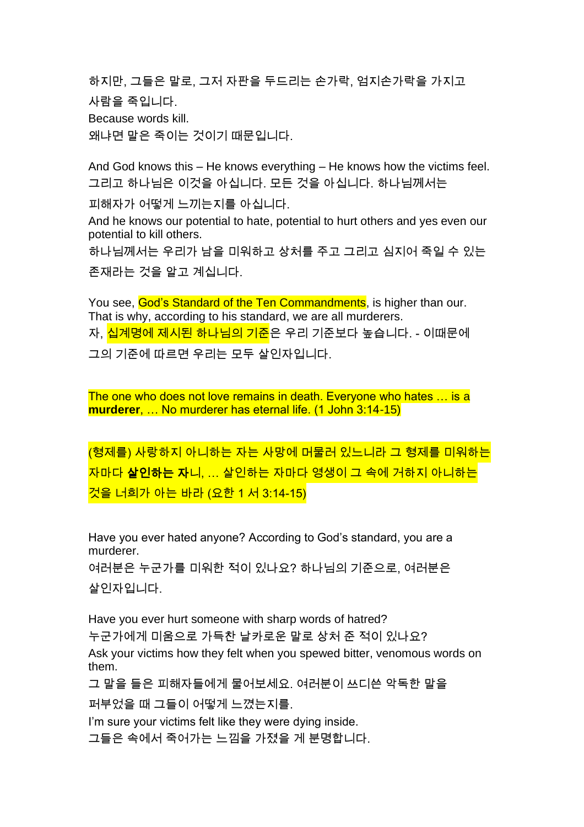하지만, 그들은 말로, 그저 자판을 두드리는 손가락, 엄지손가락을 가지고

사람을 죽입니다.

Because words kill.

왜냐면 말은 죽이는 것이기 때문입니다.

And God knows this – He knows everything – He knows how the victims feel. 그리고 하나님은 이것을 아십니다. 모든 것을 아십니다. 하나님께서는

피해자가 어떻게 느끼는지를 아십니다.

And he knows our potential to hate, potential to hurt others and yes even our potential to kill others.

하나님께서는 우리가 남을 미워하고 상처를 주고 그리고 심지어 죽일 수 있는 존재라는 것을 알고 계십니다.

You see, God's Standard of the Ten Commandments, is higher than our. That is why, according to his standard, we are all murderers. 자, <mark>십계명에 제시된 하나님의 기준</mark>은 우리 기준보다 높습니다. - 이때문에 그의 기준에 따르면 우리는 모두 살인자입니다.

The one who does not love remains in death. Everyone who hates … is a **murderer**, … No murderer has eternal life. (1 John 3:14-15)

(형제를) 사랑하지 아니하는 자는 사망에 머물러 있느니라 그 형제를 미워하는 자마다 살인하는 자니, … 살인하는 자마다 영생이 그 속에 거하지 아니하는 것을 너희가 아는 바라 (요한 1 서 3:14-15)

Have you ever hated anyone? According to God's standard, you are a murderer.

여러분은 누군가를 미워한 적이 있나요? 하나님의 기준으로, 여러분은 살인자입니다.

Have you ever hurt someone with sharp words of hatred?

누군가에게 미움으로 가득찬 날카로운 말로 상처 준 적이 있나요?

Ask your victims how they felt when you spewed bitter, venomous words on them.

그 말을 들은 피해자들에게 물어보세요. 여러분이 쓰디쓴 악독한 말을

퍼부었을 때 그들이 어떻게 느꼈는지를.

I'm sure your victims felt like they were dying inside.

그들은 속에서 죽어가는 느낌을 가졌을 게 분명합니다.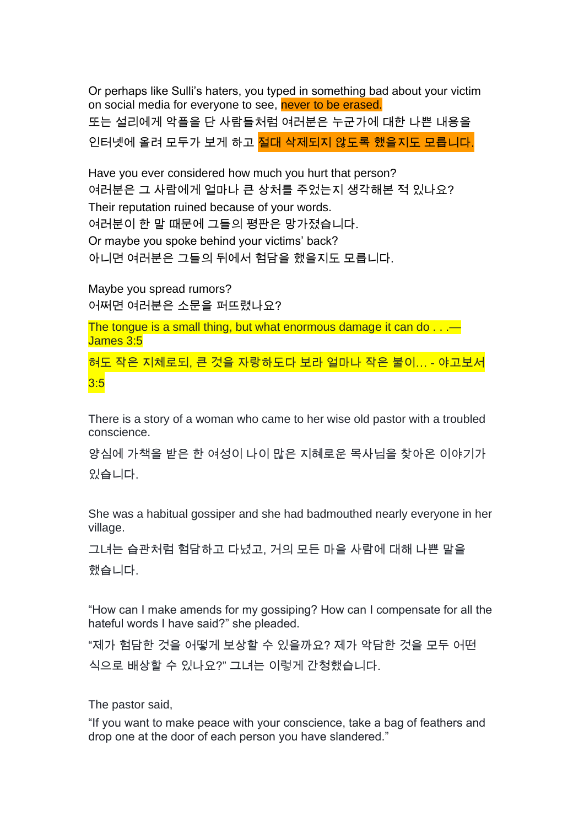Or perhaps like Sulli's haters, you typed in something bad about your victim on social media for everyone to see, never to be erased. 또는 설리에게 악플을 단 사람들처럼 여러분은 누군가에 대한 나쁜 내용을 인터넷에 올려 모두가 보게 하고 <mark>절대 삭제되지 않도록 했을지도 모릅니다</mark>.

Have you ever considered how much you hurt that person? 여러분은 그 사람에게 얼마나 큰 상처를 주었는지 생각해본 적 있나요? Their reputation ruined because of your words. 여러분이 한 말 때문에 그들의 평판은 망가졌습니다. Or maybe you spoke behind your victims' back? 아니면 여러분은 그들의 뒤에서 험담을 했을지도 모릅니다.

Maybe you spread rumors? 어쩌면 여러분은 소문을 퍼뜨렸나요?

The tongue is a small thing, but what enormous damage it can do . . .— James 3:5

혀도 작은 지체로되, 큰 것을 자랑하도다 보라 얼마나 작은 불이… - 야고보서 3:5

There is a story of a woman who came to her wise old pastor with a troubled conscience.

양심에 가책을 받은 한 여성이 나이 많은 지혜로운 목사님을 찾아온 이야기가 있습니다.

She was a habitual gossiper and she had badmouthed nearly everyone in her village.

그녀는 습관처럼 험담하고 다녔고, 거의 모든 마을 사람에 대해 나쁜 말을 했습니다.

"How can I make amends for my gossiping? How can I compensate for all the hateful words I have said?" she pleaded.

"제가 험담한 것을 어떻게 보상할 수 있을까요? 제가 악담한 것을 모두 어떤 식으로 배상할 수 있나요?" 그녀는 이렇게 간청했습니다.

The pastor said,

"If you want to make peace with your conscience, take a bag of feathers and drop one at the door of each person you have slandered."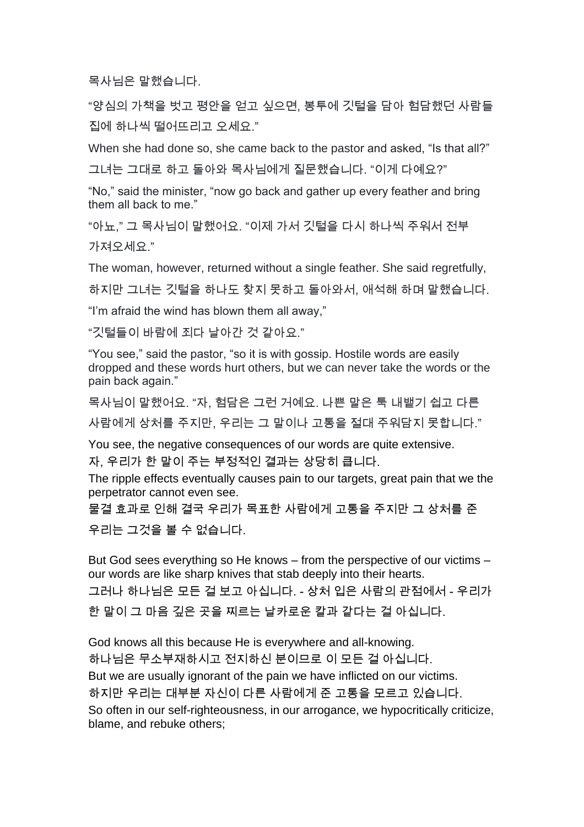목사님은 말했습니다.

"양심의 가책을 벗고 평안을 얻고 싶으면, 봉투에 깃털을 담아 험담했던 사람들 집에 하나씩 떨어뜨리고 오세요."

When she had done so, she came back to the pastor and asked, "Is that all?"

그녀는 그대로 하고 돌아와 목사님에게 질문했습니다. "이게 다예요?"

"No," said the minister, "now go back and gather up every feather and bring them all back to me."

"아뇨," 그 목사님이 말했어요. "이제 가서 깃털을 다시 하나씩 주워서 전부 가져오세요."

The woman, however, returned without a single feather. She said regretfully,

하지만 그녀는 깃털을 하나도 찾지 못하고 돌아와서, 애석해 하며 말했습니다.

"I'm afraid the wind has blown them all away,"

"깃털들이 바람에 죄다 날아간 것 같아요."

"You see," said the pastor, "so it is with gossip. Hostile words are easily dropped and these words hurt others, but we can never take the words or the pain back again."

목사님이 말했어요. "자, 험담은 그런 거예요. 나쁜 말은 툭 내뱉기 쉽고 다른 사람에게 상처를 주지만, 우리는 그 말이나 고통을 절대 주워담지 못합니다."

You see, the negative consequences of our words are quite extensive. 자, 우리가 한 말이 주는 부정적인 결과는 상당히 큽니다.

The ripple effects eventually causes pain to our targets, great pain that we the perpetrator cannot even see.

물결 효과로 인해 결국 우리가 목표한 사람에게 고통을 주지만 그 상처를 준 우리는 그것을 볼 수 없습니다.

But God sees everything so He knows – from the perspective of our victims – our words are like sharp knives that stab deeply into their hearts. 그러나 하나님은 모든 걸 보고 아십니다. - 상처 입은 사람의 관점에서 - 우리가 한 말이 그 마음 깊은 곳을 찌르는 날카로운 칼과 같다는 걸 아십니다.

God knows all this because He is everywhere and all-knowing. 하나님은 무소부재하시고 전지하신 분이므로 이 모든 걸 아십니다. But we are usually ignorant of the pain we have inflicted on our victims. 하지만 우리는 대부분 자신이 다른 사람에게 준 고통을 모르고 있습니다. So often in our self-righteousness, in our arrogance, we hypocritically criticize, blame, and rebuke others;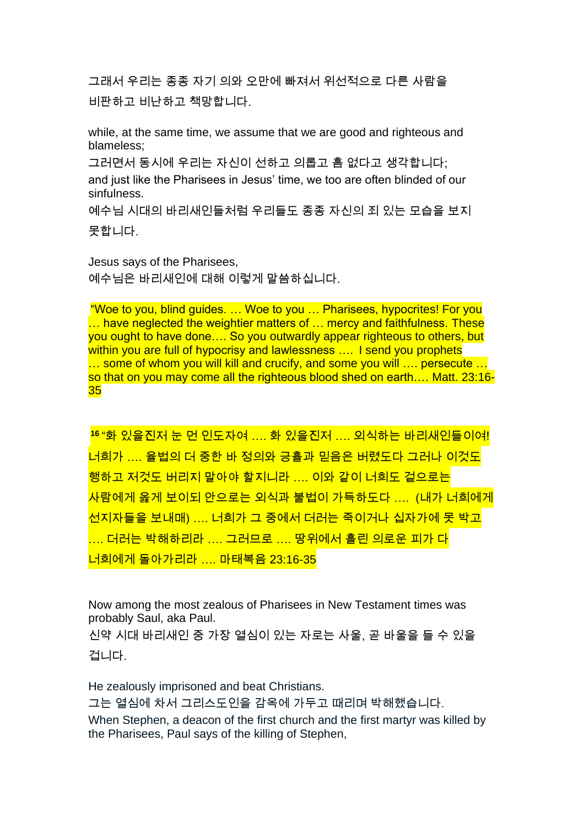그래서 우리는 종종 자기 의와 오만에 빠져서 위선적으로 다른 사람을 비판하고 비난하고 책망합니다.

while, at the same time, we assume that we are good and righteous and blameless;

그러면서 동시에 우리는 자신이 선하고 의롭고 흠 없다고 생각합니다; and just like the Pharisees in Jesus' time, we too are often blinded of our sinfulness.

예수님 시대의 바리새인들처럼 우리들도 종종 자신의 죄 있는 모습을 보지 못합니다.

Jesus says of the Pharisees, 예수님은 바리새인에 대해 이렇게 말씀하십니다.

"Woe to you, blind guides. … Woe to you … Pharisees, hypocrites! For you ... have neglected the weightier matters of ... mercy and faithfulness. These you ought to have done…. So you outwardly appear righteous to others, but within you are full of hypocrisy and lawlessness .... I send you prophets ... some of whom you will kill and crucify, and some you will .... persecute ... so that on you may come all the righteous blood shed on earth…. Matt. 23:16- 35

**16** "화 있을진저 눈 먼 인도자여 …. 화 있을진저 …. 외식하는 바리새인들이여! 너희가 …. 율법의 더 중한 바 정의와 긍휼과 믿음은 버렸도다 그러나 이것도 행하고 저것도 버리지 말아야 할지니라 …. 이와 같이 너희도 겉으로는 사람에게 옳게 보이되 안으로는 외식과 불법이 가득하도다 …. (내가 너희에게 선지자들을 보내매) …. 너희가 그 중에서 더러는 죽이거나 십자가에 못 박고 .... 더러는 박해하리라 …. 그러므로 …. 땅위에서 흘린 의로운 피가 다 너희에게 돌아가리라 …. 마태복음 23:16-35

Now among the most zealous of Pharisees in New Testament times was probably Saul, aka Paul.

신약 시대 바리새인 중 가장 열심이 있는 자로는 사울, 곧 바울을 들 수 있을 겁니다.

He zealously imprisoned and beat Christians.

그는 열심에 차서 그리스도인을 감옥에 가두고 때리며 박해했습니다.

When Stephen, a deacon of the first church and the first martyr was killed by the Pharisees, Paul says of the killing of Stephen,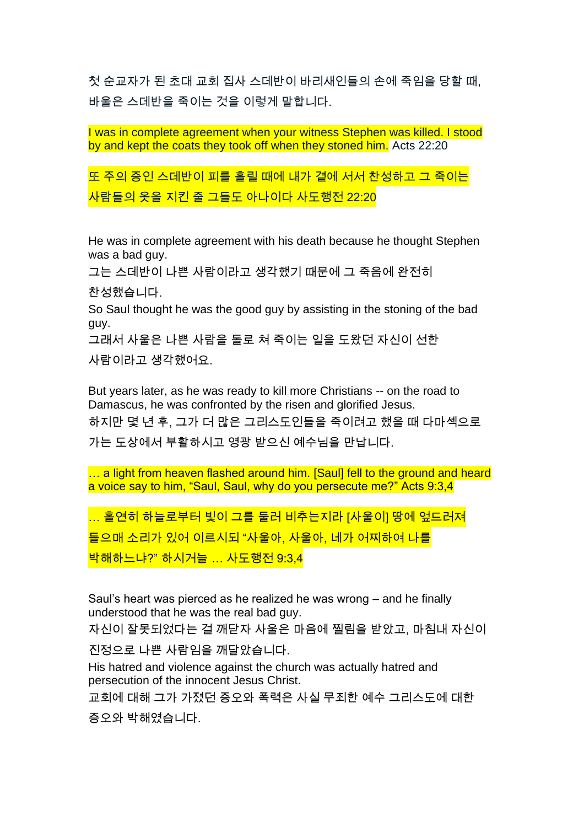첫 순교자가 된 초대 교회 집사 스데반이 바리새인들의 손에 죽임을 당할 때, 바울은 스데반을 죽이는 것을 이렇게 말합니다.

I was in complete agreement when your witness Stephen was killed. I stood by and kept the coats they took off when they stoned him. Acts 22:20

또 주의 증인 스데반이 피를 흘릴 때에 내가 곁에 서서 찬성하고 그 죽이는 사람들의 옷을 지킨 줄 그들도 아나이다 사도행전 22:20

He was in complete agreement with his death because he thought Stephen was a bad guy.

그는 스데반이 나쁜 사람이라고 생각했기 때문에 그 죽음에 완전히

찬성했습니다.

So Saul thought he was the good guy by assisting in the stoning of the bad guy.

그래서 사울은 나쁜 사람을 돌로 쳐 죽이는 일을 도왔던 자신이 선한

사람이라고 생각했어요.

But years later, as he was ready to kill more Christians -- on the road to Damascus, he was confronted by the risen and glorified Jesus. 하지만 몇 년 후, 그가 더 많은 그리스도인들을 죽이려고 했을 때 다마섹으로 가는 도상에서 부활하시고 영광 받으신 예수님을 만납니다.

... a light from heaven flashed around him. [Saul] fell to the ground and heard a voice say to him, "Saul, Saul, why do you persecute me?" Acts 9:3,4

… 홀연히 하늘로부터 빛이 그를 둘러 비추는지라 [사울이] 땅에 엎드러져 들으매 소리가 있어 이르시되 "사울아, 사울아, 네가 어찌하여 나를 박해하느냐?" 하시거늘 … 사도행전 9:3,4

Saul's heart was pierced as he realized he was wrong – and he finally understood that he was the real bad guy.

자신이 잘못되었다는 걸 깨닫자 사울은 마음에 찔림을 받았고, 마침내 자신이

진정으로 나쁜 사람임을 깨달았습니다.

His hatred and violence against the church was actually hatred and persecution of the innocent Jesus Christ.

교회에 대해 그가 가졌던 증오와 폭력은 사실 무죄한 예수 그리스도에 대한

증오와 박해였습니다.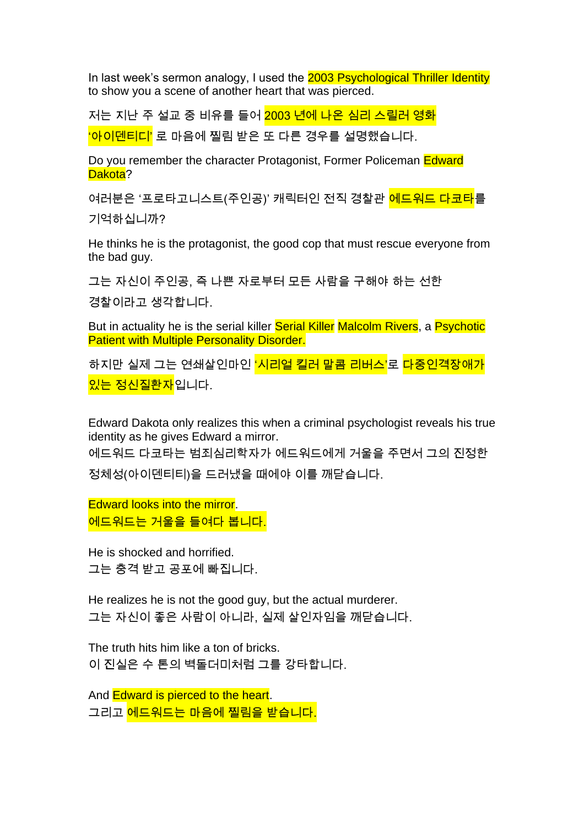In last week's sermon analogy, I used the 2003 Psychological Thriller Identity to show you a scene of another heart that was pierced.

저는 지난 주 설교 중 비유를 들어 2003 년에 나온 심리 스릴러 영화

'아이덴티디' 로 마음에 찔림 받은 또 다른 경우를 설명했습니다.

Do you remember the character Protagonist, Former Policeman Edward Dakota?

여러분은 '프로타고니스트(주인공)' 캐릭터인 전직 경찰관 <mark>에드워드 다코타</mark>를

기억하십니까?

He thinks he is the protagonist, the good cop that must rescue everyone from the bad guy.

그는 자신이 주인공, 즉 나쁜 자로부터 모든 사람을 구해야 하는 선한

경찰이라고 생각합니다.

But in actuality he is the serial killer Serial Killer Malcolm Rivers, a Psychotic Patient with Multiple Personality Disorder.

하지만 실제 그는 연쇄살인마인 '<mark>시리얼 킬러 말콤 리버스'</mark>로 <mark>다중인격장애가</mark> <mark>있는 정신질환자</mark>입니다.

Edward Dakota only realizes this when a criminal psychologist reveals his true identity as he gives Edward a mirror.

에드워드 다코타는 범죄심리학자가 에드워드에게 거울을 주면서 그의 진정한 정체성(아이덴티티)을 드러냈을 때에야 이를 깨닫습니다.

Edward looks into the mirror. 에드워드는 거울을 들여다 봅니다.

He is shocked and horrified. 그는 충격 받고 공포에 빠집니다.

He realizes he is not the good guy, but the actual murderer. 그는 자신이 좋은 사람이 아니라, 실제 살인자임을 깨닫습니다.

The truth hits him like a ton of bricks. 이 진실은 수 톤의 벽돌더미처럼 그를 강타합니다.

And **Edward is pierced to the heart**. 그리고 <mark>에드워드는 마음에 찔림을 받습니다.</mark>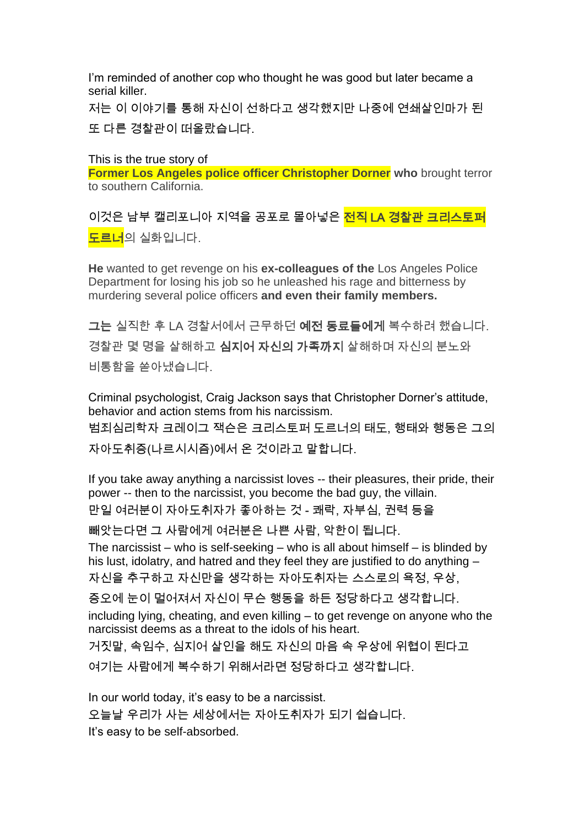I'm reminded of another cop who thought he was good but later became a serial killer.

저는 이 이야기를 통해 자신이 선하다고 생각했지만 나중에 연쇄살인마가 된 또 다른 경찰관이 떠올랐습니다.

This is the true story of

**Former Los Angeles police officer Christopher Dorner who** brought terror to southern California.

이것은 남부 캘리포니아 지역을 공포로 몰아넣은 <mark>전직 LA 경찰관 크리스토퍼</mark> <mark>도르너</mark>의 실화입니다.

**He** wanted to get revenge on his **ex-colleagues of the** Los Angeles Police Department for losing his job so he unleashed his rage and bitterness by murdering several police officers **and even their family members.**

그는 실직한 후 LA 경찰서에서 근무하던 예전 동료들에게 복수하려 했습니다. 경찰관 몇 명을 살해하고 심지어 자신의 가족까지 살해하며 자신의 분노와 비통함을 쏟아냈습니다.

Criminal psychologist, Craig Jackson says that Christopher Dorner's attitude, behavior and action stems from his narcissism. 범죄심리학자 크레이그 잭슨은 크리스토퍼 도르너의 태도, 행태와 행동은 그의 자아도취증(나르시시즘)에서 온 것이라고 말합니다.

If you take away anything a narcissist loves -- their pleasures, their pride, their power -- then to the narcissist, you become the bad guy, the villain. 만일 여러분이 자아도취자가 좋아하는 것 - 쾌락, 자부심, 권력 등을

빼앗는다면 그 사람에게 여러분은 나쁜 사람, 악한이 됩니다.

The narcissist – who is self-seeking – who is all about himself – is blinded by his lust, idolatry, and hatred and they feel they are justified to do anything – 자신을 추구하고 자신만을 생각하는 자아도취자는 스스로의 욕정, 우상,

증오에 눈이 멀어져서 자신이 무슨 행동을 하든 정당하다고 생각합니다.

including lying, cheating, and even killing – to get revenge on anyone who the narcissist deems as a threat to the idols of his heart.

거짓말, 속임수, 심지어 살인을 해도 자신의 마음 속 우상에 위협이 된다고

여기는 사람에게 복수하기 위해서라면 정당하다고 생각합니다.

In our world today, it's easy to be a narcissist. 오늘날 우리가 사는 세상에서는 자아도취자가 되기 쉽습니다. It's easy to be self-absorbed.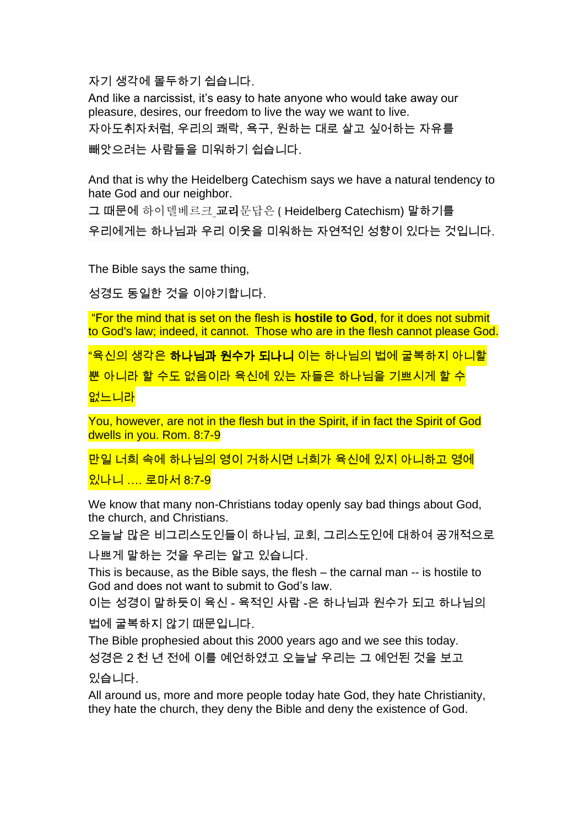자기 생각에 몰두하기 쉽습니다.

And like a narcissist, it's easy to hate anyone who would take away our pleasure, desires, our freedom to live the way we want to live. 자아도취자처럼, 우리의 쾌락, 욕구, 원하는 대로 살고 싶어하는 자유를 빼앗으려는 사람들을 미워하기 쉽습니다.

And that is why the Heidelberg Catechism says we have a natural tendency to hate God and our neighbor.

그 때문에 하이델베르크 교리문답은 ( Heidelberg Catechism) 말하기를

우리에게는 하나님과 우리 이웃을 미워하는 자연적인 성향이 있다는 것입니다.

The Bible says the same thing,

성경도 동일한 것을 이야기합니다.

"For the mind that is set on the flesh is **hostile to God**, for it does not submit to God's law; indeed, it cannot. Those who are in the flesh cannot please God.

"육신의 생각은 **하나님과 원수가 되나니** 이는 하나님의 법에 굴복하지 아니할

뿐 아니라 할 수도 없음이라 육신에 있는 자들은 하나님을 기쁘시게 할 수

없느니라

You, however, are not in the flesh but in the Spirit, if in fact the Spirit of God dwells in you. Rom. 8:7-9

만일 너희 속에 하나님의 영이 거하시면 너희가 육신에 있지 아니하고 영에

있나니 …. 로마서 8:7-9

We know that many non-Christians today openly say bad things about God, the church, and Christians.

오늘날 많은 비그리스도인들이 하나님, 교회, 그리스도인에 대하여 공개적으로

나쁘게 말하는 것을 우리는 알고 있습니다.

This is because, as the Bible says, the flesh – the carnal man -- is hostile to God and does not want to submit to God's law.

이는 성경이 말하듯이 육신 - 육적인 사람 -은 하나님과 원수가 되고 하나님의

법에 굴복하지 않기 때문입니다.

The Bible prophesied about this 2000 years ago and we see this today. 성경은 2 천 년 전에 이를 예언하였고 오늘날 우리는 그 예언된 것을 보고

있습니다.

All around us, more and more people today hate God, they hate Christianity, they hate the church, they deny the Bible and deny the existence of God.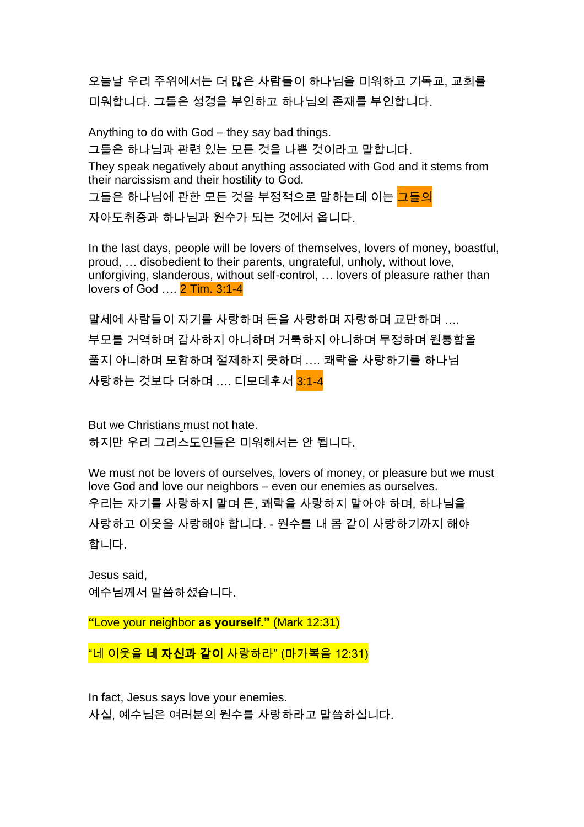오늘날 우리 주위에서는 더 많은 사람들이 하나님을 미워하고 기독교, 교회를 미워합니다. 그들은 성경을 부인하고 하나님의 존재를 부인합니다.

Anything to do with God – they say bad things. 그들은 하나님과 관련 있는 모든 것을 나쁜 것이라고 말합니다. They speak negatively about anything associated with God and it stems from their narcissism and their hostility to God. 그들은 하나님에 관한 모든 것을 부정적으로 말하는데 이는 <mark>그들의</mark> 자아도취증과 하나님과 원수가 되는 것에서 옵니다.

In the last days, people will be lovers of themselves, lovers of money, boastful, proud, … disobedient to their parents, ungrateful, unholy, without love, unforgiving, slanderous, without self-control, … lovers of pleasure rather than lovers of God …. 2 Tim. 3:1-4

말세에 사람들이 자기를 사랑하며 돈을 사랑하며 자랑하며 교만하며 …. 부모를 거역하며 감사하지 아니하며 거룩하지 아니하며 무정하며 원통함을 풀지 아니하며 모함하며 절제하지 못하며 …. 쾌락을 사랑하기를 하나님 사랑하는 것보다 더하며 …. 디모데후서 3:1-4

But we Christians must not hate. 하지만 우리 그리스도인들은 미워해서는 안 됩니다.

We must not be lovers of ourselves, lovers of money, or pleasure but we must love God and love our neighbors – even our enemies as ourselves. 우리는 자기를 사랑하지 말며 돈, 쾌락을 사랑하지 말아야 하며, 하나님을 사랑하고 이웃을 사랑해야 합니다. - 원수를 내 몸 같이 사랑하기까지 해야 합니다.

Jesus said, 예수님께서 말씀하셨습니다.

**"**Love your neighbor **as yourself."** (Mark 12:31)

"네 이웃을 네 자신과 같이 사랑하라" (마가복음 12:31)

In fact, Jesus says love your enemies. 사실, 예수님은 여러분의 원수를 사랑하라고 말씀하십니다.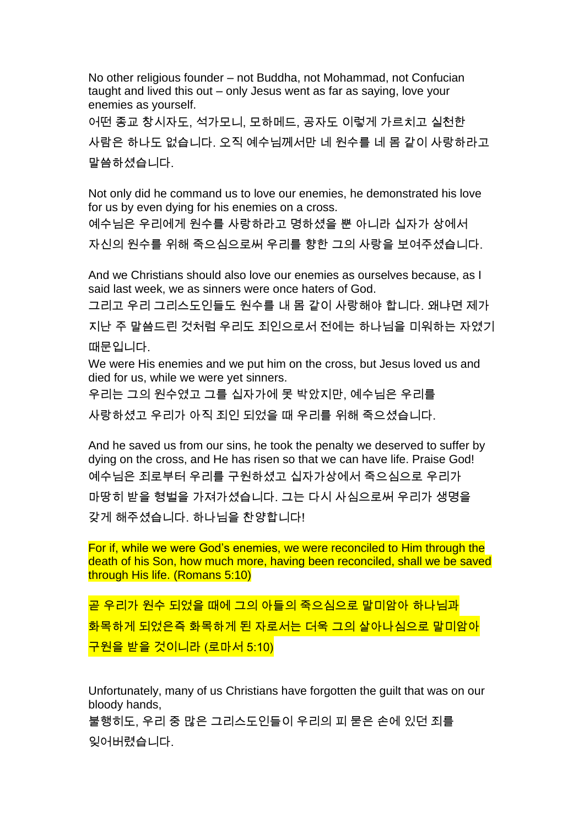No other religious founder – not Buddha, not Mohammad, not Confucian taught and lived this out – only Jesus went as far as saying, love your enemies as yourself.

어떤 종교 창시자도, 석가모니, 모하메드, 공자도 이렇게 가르치고 실천한 사람은 하나도 없습니다. 오직 예수님께서만 네 원수를 네 몸 같이 사랑하라고 말씀하셨습니다.

Not only did he command us to love our enemies, he demonstrated his love for us by even dying for his enemies on a cross.

예수님은 우리에게 원수를 사랑하라고 명하셨을 뿐 아니라 십자가 상에서 자신의 원수를 위해 죽으심으로써 우리를 향한 그의 사랑을 보여주셨습니다.

And we Christians should also love our enemies as ourselves because, as I said last week, we as sinners were once haters of God.

그리고 우리 그리스도인들도 원수를 내 몸 같이 사랑해야 합니다. 왜냐면 제가

지난 주 말씀드린 것처럼 우리도 죄인으로서 전에는 하나님을 미워하는 자였기 때문입니다.

We were His enemies and we put him on the cross, but Jesus loved us and died for us, while we were yet sinners.

우리는 그의 원수였고 그를 십자가에 못 박았지만, 예수님은 우리를

사랑하셨고 우리가 아직 죄인 되었을 때 우리를 위해 죽으셨습니다.

And he saved us from our sins, he took the penalty we deserved to suffer by dying on the cross, and He has risen so that we can have life. Praise God! 예수님은 죄로부터 우리를 구원하셨고 십자가상에서 죽으심으로 우리가 마땅히 받을 형벌을 가져가셨습니다. 그는 다시 사심으로써 우리가 생명을 갖게 해주셨습니다. 하나님을 찬양합니다!

For if, while we were God's enemies, we were reconciled to Him through the death of his Son, how much more, having been reconciled, shall we be saved through His life. (Romans 5:10)

곧 우리가 원수 되었을 때에 그의 아들의 죽으심으로 말미암아 하나님과 화목하게 되었은즉 화목하게 된 자로서는 더욱 그의 살아나심으로 말미암아 구원을 받을 것이니라 (로마서 5:10)

Unfortunately, many of us Christians have forgotten the guilt that was on our bloody hands,

불행히도, 우리 중 많은 그리스도인들이 우리의 피 묻은 손에 있던 죄를 잊어버렸습니다.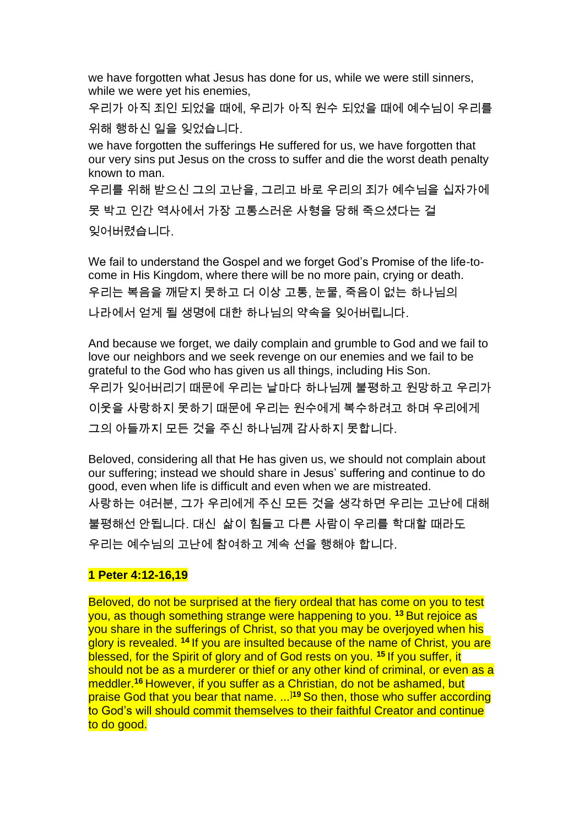we have forgotten what Jesus has done for us, while we were still sinners, while we were yet his enemies,

우리가 아직 죄인 되었을 때에, 우리가 아직 원수 되었을 때에 예수님이 우리를 위해 행하신 일을 잊었습니다.

we have forgotten the sufferings He suffered for us, we have forgotten that our very sins put Jesus on the cross to suffer and die the worst death penalty known to man.

우리를 위해 받으신 그의 고난을, 그리고 바로 우리의 죄가 예수님을 십자가에

못 박고 인간 역사에서 가장 고통스러운 사형을 당해 죽으셨다는 걸 잊어버렸습니다.

We fail to understand the Gospel and we forget God's Promise of the life-tocome in His Kingdom, where there will be no more pain, crying or death. 우리는 복음을 깨닫지 못하고 더 이상 고통, 눈물, 죽음이 없는 하나님의 나라에서 얻게 될 생명에 대한 하나님의 약속을 잊어버립니다.

And because we forget, we daily complain and grumble to God and we fail to love our neighbors and we seek revenge on our enemies and we fail to be grateful to the God who has given us all things, including His Son. 우리가 잊어버리기 때문에 우리는 날마다 하나님께 불평하고 원망하고 우리가 이웃을 사랑하지 못하기 때문에 우리는 원수에게 복수하려고 하며 우리에게 그의 아들까지 모든 것을 주신 하나님께 감사하지 못합니다.

Beloved, considering all that He has given us, we should not complain about our suffering; instead we should share in Jesus' suffering and continue to do good, even when life is difficult and even when we are mistreated. 사랑하는 여러분, 그가 우리에게 주신 모든 것을 생각하면 우리는 고난에 대해 불평해선 안됩니다. 대신 삶이 힘들고 다른 사람이 우리를 학대할 때라도 우리는 예수님의 고난에 참여하고 계속 선을 행해야 합니다.

## **1 Peter 4:12-16,19**

Beloved, do not be surprised at the fiery ordeal that has come on you to test you, as though something strange were happening to you. **<sup>13</sup>** But rejoice as you share in the sufferings of Christ, so that you may be overjoyed when his glory is revealed. **<sup>14</sup>** If you are insulted because of the name of Christ, you are blessed, for the Spirit of glory and of God rests on you. **<sup>15</sup>** If you suffer, it should not be as a murderer or thief or any other kind of criminal, or even as a meddler.**<sup>16</sup>** However, if you suffer as a Christian, do not be ashamed, but praise God that you bear that name. ...]**<sup>19</sup>** So then, those who suffer according to God's will should commit themselves to their faithful Creator and continue to do good.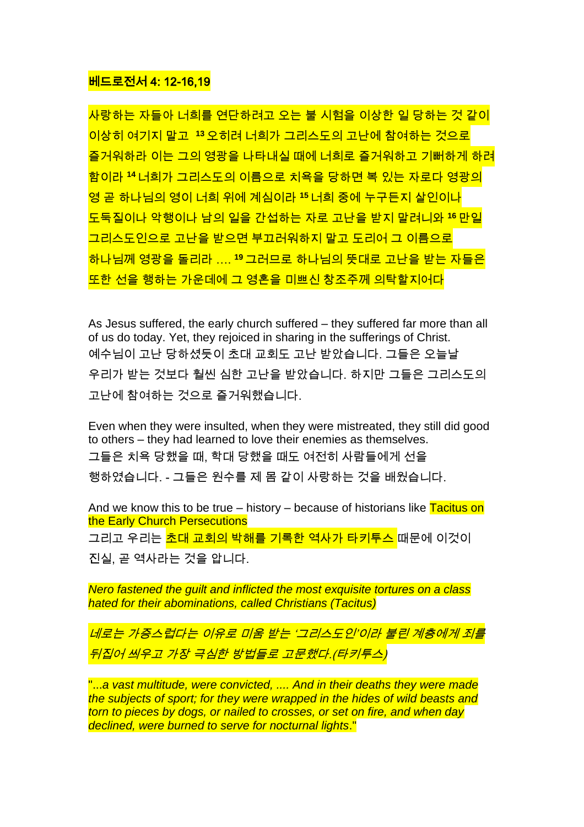## 베드로전서 4: 12-16,19

사랑하는 자들아 너희를 연단하려고 오는 불 시험을 이상한 일 당하는 것 같이 이상히 여기지 말고 **<sup>13</sup>** 오히려 너희가 그리스도의 고난에 참여하는 것으로 즐거워하라 이는 그의 영광을 나타내실 때에 너희로 즐거워하고 기뻐하게 하려 함이라 **<sup>14</sup>**너희가 그리스도의 이름으로 치욕을 당하면 복 있는 자로다 영광의 영 곧 하나님의 영이 너희 위에 계심이라 **<sup>15</sup>** 너희 중에 누구든지 살인이나 도둑질이나 악행이나 남의 일을 간섭하는 자로 고난을 받지 말려니와 **<sup>16</sup>** 만일 그리스도인으로 고난을 받으면 부끄러워하지 말고 도리어 그 이름으로 <u>하나님께 영광을 돌리라 …. <sup>19</sup> 그러므로 하나님의 뜻대로 고난을 받는 자들은</u> 또한 선을 행하는 가운데에 그 영혼을 미쁘신 창조주께 의탁할지어다

As Jesus suffered, the early church suffered – they suffered far more than all of us do today. Yet, they rejoiced in sharing in the sufferings of Christ. 예수님이 고난 당하셨듯이 초대 교회도 고난 받았습니다. 그들은 오늘날 우리가 받는 것보다 훨씬 심한 고난을 받았습니다. 하지만 그들은 그리스도의 고난에 참여하는 것으로 즐거워했습니다.

Even when they were insulted, when they were mistreated, they still did good to others – they had learned to love their enemies as themselves. 그들은 치욕 당했을 때, 학대 당했을 때도 여전히 사람들에게 선을 행하였습니다. - 그들은 원수를 제 몸 같이 사랑하는 것을 배웠습니다.

And we know this to be true – history – because of historians like  $\frac{r}{\text{r}}$  acitus on the Early Church Persecutions 그리고 우리는 <mark>초대 교회의 박해를 기록한 역사가 타키투스</mark> 때문에 이것이 진실, 곧 역사라는 것을 압니다.

*Nero fastened the guilt and inflicted the most exquisite tortures on a class hated for their abominations, called Christians (Tacitus)*

네로는 가증스럽다는 이유로 미움 받는 '그리스도인'이라 불린 계층에게 죄를 뒤집어 씌우고 가장 극심한 방법들로 고문했다.(타키투스)

"...*a vast multitude, were convicted, .... And in their deaths they were made the subjects of sport; for they were wrapped in the hides of wild beasts and torn to pieces by dogs, or nailed to crosses, or set on fire, and when day declined, were burned to serve for nocturnal lights*."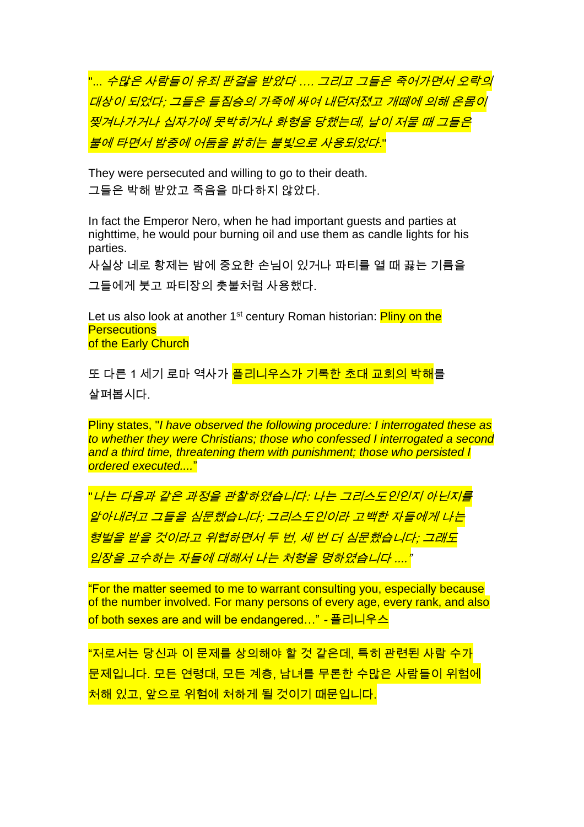"... 수많은 사람들이 유죄 판결을 받았다 .... 그리고 그들은 죽어가면서 오락의 대상이 되었다; 그들은 들짐승의 가죽에 싸여 내던져졌고 개떼에 의해 온몸이 찢겨나가거나 십자가에 못박히거나 화형을 당했는데, 날이 저물 때 그들은 불에 타면서 밤중에 어둠을 밝히는 불빛으로 사용되었다."

They were persecuted and willing to go to their death. 그들은 박해 받았고 죽음을 마다하지 않았다.

In fact the Emperor Nero, when he had important guests and parties at nighttime, he would pour burning oil and use them as candle lights for his parties.

사실상 네로 황제는 밤에 중요한 손님이 있거나 파티를 열 때 끓는 기름을 그들에게 붓고 파티장의 촛불처럼 사용했다.

Let us also look at another 1<sup>st</sup> century Roman historian: **Pliny on the Persecutions** of the Early Church

또 다른 1 세기 로마 역사가 <mark>플리니우스가 기록한 초대 교회의 박해</mark>를

살펴봅시다.

Pliny states, "*I have observed the following procedure: I interrogated these as to whether they were Christians; those who confessed I interrogated a second and a third time, threatening them with punishment; those who persisted I ordered executed....*"

"나는 다음과 같은 과정을 관찰하였습니다: 나는 그리스도인인지 아닌지를 알아내려고 그들을 심문했습니다; 그리스도인이라 고백한 자들에게 나는 형벌을 받을 것이라고 위협하면서 두 번, 세 번 더 심문했습니다; 그래도 <u>입장을 고수하는 자들에 대해서 나는 처형을 명하였습니다 ....</u>"

"For the matter seemed to me to warrant consulting you, especially because of the number involved. For many persons of every age, every rank, and also of both sexes are and will be endangered…" - 플리니우스

"저로서는 당신과 이 문제를 상의해야 할 것 같은데, 특히 관련된 사람 수가 문제입니다. 모든 연령대, 모든 계층, 남녀를 무론한 수많은 사람들이 위험에 처해 있고, 앞으로 위험에 처하게 될 것이기 때문입니다.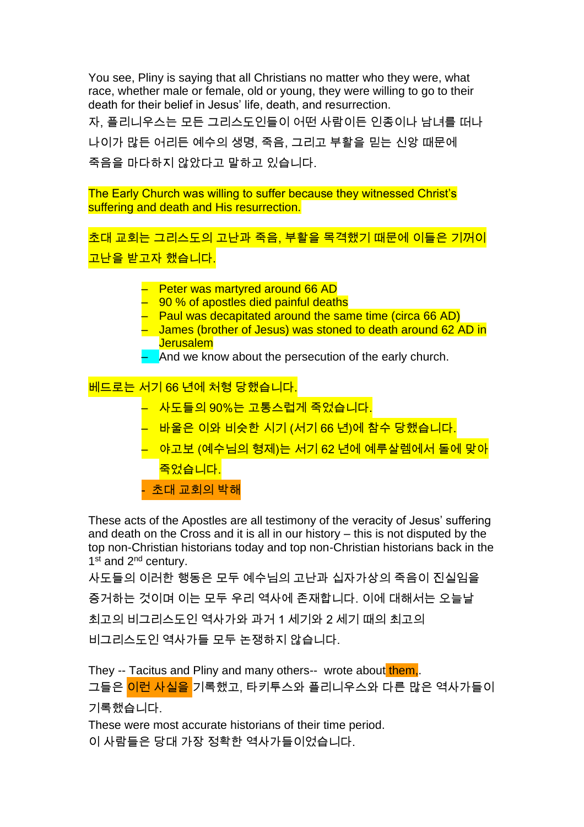You see, Pliny is saying that all Christians no matter who they were, what race, whether male or female, old or young, they were willing to go to their death for their belief in Jesus' life, death, and resurrection.

자, 플리니우스는 모든 그리스도인들이 어떤 사람이든 인종이나 남녀를 떠나 나이가 많든 어리든 예수의 생명, 죽음, 그리고 부활을 믿는 신앙 때문에 죽음을 마다하지 않았다고 말하고 있습니다.

The Early Church was willing to suffer because they witnessed Christ's suffering and death and His resurrection.

초대 교회는 그리스도의 고난과 죽음, 부활을 목격했기 때문에 이들은 기꺼이 고난을 받고자 했습니다.

- Peter was martyred around 66 AD
- $-$  90 % of apostles died painful deaths
- Paul was decapitated around the same time (circa 66 AD)
- James (brother of Jesus) was stoned to death around 62 AD in **Jerusalem**
- $-$  And we know about the persecution of the early church.

베드로는 서기 66 년에 처형 당했습니다.

- 사도들의 90%는 고통스럽게 죽었습니다.
- 바울은 이와 비슷한 시기 (서기 66 년)에 참수 당했습니다.
- 야고보 (예수님의 형제)는 서기 62 년에 예루살렘에서 돌에 맞아 죽었습니다. - 초대 교회의 박해

These acts of the Apostles are all testimony of the veracity of Jesus' suffering and death on the Cross and it is all in our history – this is not disputed by the top non-Christian historians today and top non-Christian historians back in the 1<sup>st</sup> and 2<sup>nd</sup> century.

사도들의 이러한 행동은 모두 예수님의 고난과 십자가상의 죽음이 진실임을 증거하는 것이며 이는 모두 우리 역사에 존재합니다. 이에 대해서는 오늘날 최고의 비그리스도인 역사가와 과거 1 세기와 2 세기 때의 최고의

비그리스도인 역사가들 모두 논쟁하지 않습니다.

They -- Tacitus and Pliny and many others-- wrote about them, 그들은 <mark>이런 사실을</mark> 기록했고, 타키투스와 플리니우스와 다른 많은 역사가들이 기록했습니다.

These were most accurate historians of their time period.

이 사람들은 당대 가장 정확한 역사가들이었습니다.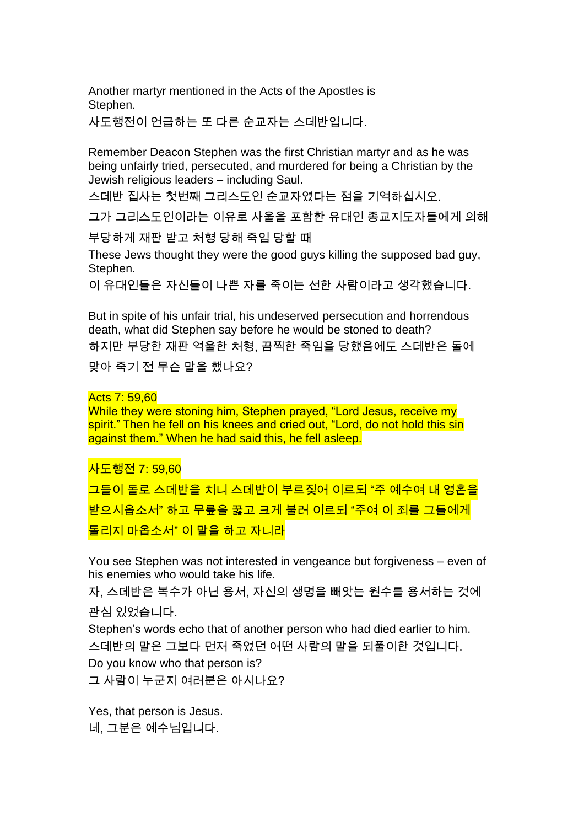Another martyr mentioned in the Acts of the Apostles is Stephen.

사도행전이 언급하는 또 다른 순교자는 스데반입니다.

Remember Deacon Stephen was the first Christian martyr and as he was being unfairly tried, persecuted, and murdered for being a Christian by the Jewish religious leaders – including Saul.

스데반 집사는 첫번째 그리스도인 순교자였다는 점을 기억하십시오.

그가 그리스도인이라는 이유로 사울을 포함한 유대인 종교지도자들에게 의해

부당하게 재판 받고 처형 당해 죽임 당할 때

These Jews thought they were the good guys killing the supposed bad guy, Stephen.

이 유대인들은 자신들이 나쁜 자를 죽이는 선한 사람이라고 생각했습니다.

But in spite of his unfair trial, his undeserved persecution and horrendous death, what did Stephen say before he would be stoned to death? 하지만 부당한 재판 억울한 처형, 끔찍한 죽임을 당했음에도 스데반은 돌에 맞아 죽기 전 무슨 말을 했나요?

## Acts 7: 59,60

While they were stoning him, Stephen prayed, "Lord Jesus, receive my spirit." Then he fell on his knees and cried out, "Lord, do not hold this sin against them." When he had said this, he fell asleep.

사도행전 7: 59,60

그들이 돌로 스데반을 치니 스데반이 부르짖어 이르되 "주 예수여 내 영혼을 받으시옵소서" 하고 무릎을 꿇고 크게 불러 이르되 "주여 이 죄를 그들에게 돌리지 마옵소서" 이 말을 하고 자니라

You see Stephen was not interested in vengeance but forgiveness – even of his enemies who would take his life.

자, 스데반은 복수가 아닌 용서, 자신의 생명을 빼앗는 원수를 용서하는 것에 관심 있었습니다.

Stephen's words echo that of another person who had died earlier to him. 스데반의 말은 그보다 먼저 죽었던 어떤 사람의 말을 되풀이한 것입니다. Do you know who that person is?

그 사람이 누군지 여러분은 아시나요?

Yes, that person is Jesus. 네, 그분은 예수님입니다.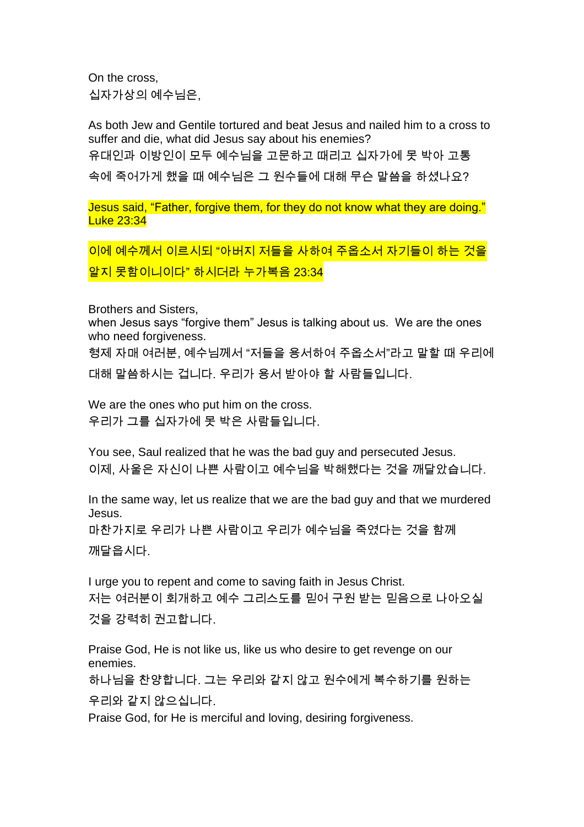On the cross, 십자가상의 예수님은,

As both Jew and Gentile tortured and beat Jesus and nailed him to a cross to suffer and die, what did Jesus say about his enemies? 유대인과 이방인이 모두 예수님을 고문하고 때리고 십자가에 못 박아 고통 속에 죽어가게 했을 때 예수님은 그 원수들에 대해 무슨 말씀을 하셨나요?

Jesus said, "Father, forgive them, for they do not know what they are doing." Luke 23:34

이에 예수께서 이르시되 "아버지 저들을 사하여 주옵소서 자기들이 하는 것을 알지 못함이니이다" 하시더라 누가복음 23:34

Brothers and Sisters,

when Jesus says "forgive them" Jesus is talking about us. We are the ones who need forgiveness.

형제 자매 여러분, 예수님께서 "저들을 용서하여 주옵소서"라고 말할 때 우리에 대해 말씀하시는 겁니다. 우리가 용서 받아야 할 사람들입니다.

We are the ones who put him on the cross. 우리가 그를 십자가에 못 박은 사람들입니다.

You see, Saul realized that he was the bad guy and persecuted Jesus. 이제, 사울은 자신이 나쁜 사람이고 예수님을 박해했다는 것을 깨달았습니다.

In the same way, let us realize that we are the bad guy and that we murdered Jesus. 마찬가지로 우리가 나쁜 사람이고 우리가 예수님을 죽였다는 것을 함께 깨달읍시다.

I urge you to repent and come to saving faith in Jesus Christ. 저는 여러분이 회개하고 예수 그리스도를 믿어 구원 받는 믿음으로 나아오실 것을 강력히 권고합니다.

Praise God, He is not like us, like us who desire to get revenge on our enemies.

하나님을 찬양합니다. 그는 우리와 같지 않고 원수에게 복수하기를 원하는 우리와 같지 않으십니다.

Praise God, for He is merciful and loving, desiring forgiveness.